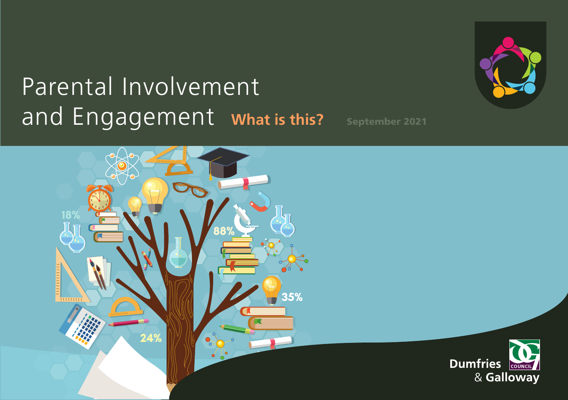# Parental Involvement and Engagement what is this? September 2021





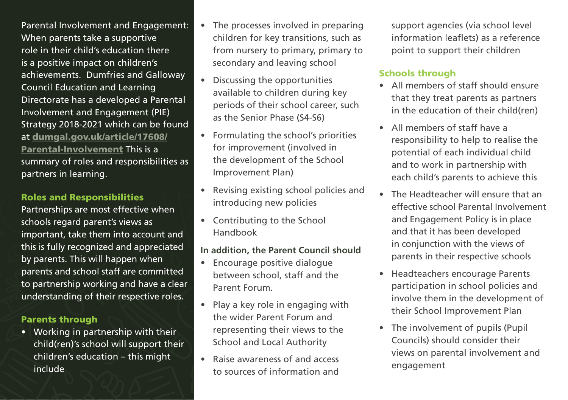Parental Involvement and Engagement: • The processes involved in preparing support agencies (via school level When parents take a supportive children for key transitions, such as information leaflets) as a reference role in their child's education there from nursery to primary, primary to point to support their children is a positive impact on children's secondary and leaving school achievements. Dumfries and Galloway Council Education and Learning Directorate has a developed a Parental Involvement and Engagement (PIE) Strategy 2018-2021 which can be found at [dumgal.gov.uk/article/17608/](http://www.dumgal.gov.uk/article/17608/Parental-Involvement) [Parental-Involvement](http://www.dumgal.gov.uk/article/17608/Parental-Involvement) This is a summary of roles and responsibilities as partners in learning.

#### Roles and Responsibilities

Partnerships are most effective when schools regard parent's views as important, take them into account and this is fully recognized and appreciated by parents. This will happen when parents and school staff are committed to partnership working and have a clear understanding of their respective roles.

#### Parents through

• Working in partnership with their child(ren)'s school will support their children's education – this might include

- 
- Discussing the opportunities available to children during key periods of their school career, such as the Senior Phase (S4-S6)
- Formulating the school's priorities for improvement (involved in the development of the School Improvement Plan)
- Revising existing school policies and introducing new policies
- Contributing to the School Handbook

#### **In addition, the Parent Council should**

- Encourage positive dialogue between school, staff and the Parent Forum.
- Play a key role in engaging with the wider Parent Forum and representing their views to the School and Local Authority
- Raise awareness of and access to sources of information and

# Schools through

- All members of staff should ensure that they treat parents as partners in the education of their child(ren)
- All members of staff have a responsibility to help to realise the potential of each individual child and to work in partnership with each child's parents to achieve this
- The Headteacher will ensure that an effective school Parental Involvement and Engagement Policy is in place and that it has been developed in conjunction with the views of parents in their respective schools
- Headteachers encourage Parents participation in school policies and involve them in the development of their School Improvement Plan
- The involvement of pupils (Pupil Councils) should consider their views on parental involvement and engagement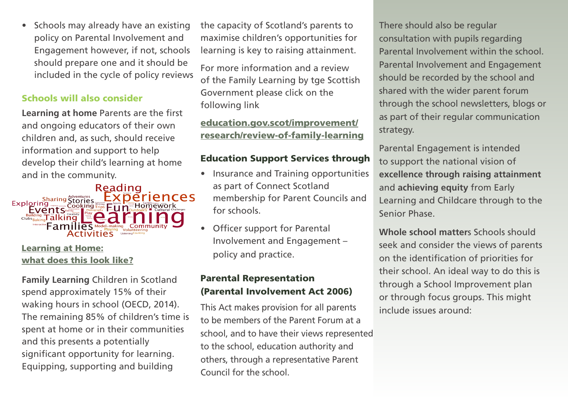• Schools may already have an existing policy on Parental Involvement and Engagement however, if not, schools should prepare one and it should be included in the cycle of policy reviews

## Schools will also consider

**Learning at home Parents are the first** and ongoing educators of their own children and, as such, should receive information and support to help develop their child's learning at home and in the community.



## [Learning at Home:](https://education.gov.scot/media/ewxgn20b/par19-4-what-does-learning-at-home-look-like.pdf)  [what does this look like?](https://education.gov.scot/media/ewxgn20b/par19-4-what-does-learning-at-home-look-like.pdf)

**Family Learning** Children in Scotland spend approximately 15% of their waking hours in school (OECD, 2014). The remaining 85% of children's time is spent at home or in their communities and this presents a potentially significant opportunity for learning. Equipping, supporting and building

the capacity of Scotland's parents to maximise children's opportunities for learning is key to raising attainment.

For more information and a review of the Family Learning by tge Scottish Government please click on the following link

# [education.gov.scot/improvement/](https://education.gov.scot/improvement/research/review-of-family-learning) [research/review-of-family-learning](https://education.gov.scot/improvement/research/review-of-family-learning)

## Education Support Services through

- Insurance and Training opportunities as part of Connect Scotland membership for Parent Councils and for schools.
- Officer support for Parental Involvement and Engagement – policy and practice.

# Parental Representation (Parental Involvement Act 2006)

This Act makes provision for all parents to be members of the Parent Forum at a school, and to have their views represented to the school, education authority and others, through a representative Parent Council for the school.

 Parental Involvement and Engagement There should also be regular consultation with pupils regarding Parental Involvement within the school. should be recorded by the school and shared with the wider parent forum through the school newsletters, blogs or as part of their regular communication strategy.

Parental Engagement is intended to support the national vision of **excellence through raising attainment**  and **achieving equity** from Early Learning and Childcare through to the Senior Phase.

**Whole school matter**s Schools should seek and consider the views of parents on the identification of priorities for their school. An ideal way to do this is through a School Improvement plan or through focus groups. This might include issues around: